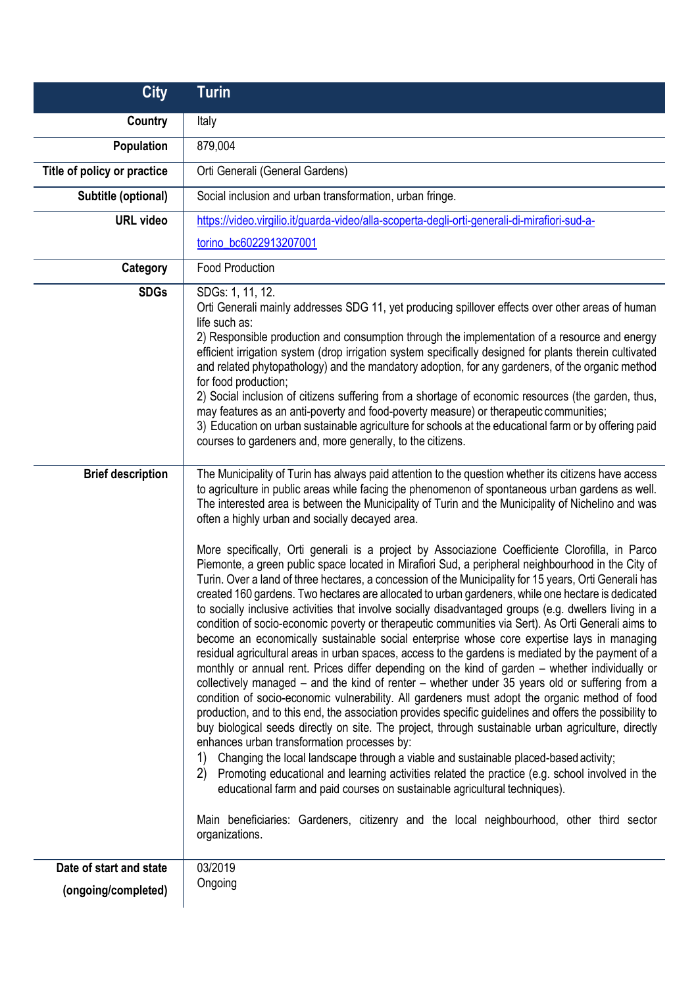| <b>City</b>                 | <b>Turin</b>                                                                                                                                                                                                                                                                                                                                                                                                                                                                                                                                                                                                                                                                                                                                                                                                                                                                                                                                                                                                                                                                                                                                                                                                                                                                                                                                                                                                                                                                                                                                                                                                                                                                                                                                                                                                                                                                                                                                                                                                                                                                                                                                                                               |
|-----------------------------|--------------------------------------------------------------------------------------------------------------------------------------------------------------------------------------------------------------------------------------------------------------------------------------------------------------------------------------------------------------------------------------------------------------------------------------------------------------------------------------------------------------------------------------------------------------------------------------------------------------------------------------------------------------------------------------------------------------------------------------------------------------------------------------------------------------------------------------------------------------------------------------------------------------------------------------------------------------------------------------------------------------------------------------------------------------------------------------------------------------------------------------------------------------------------------------------------------------------------------------------------------------------------------------------------------------------------------------------------------------------------------------------------------------------------------------------------------------------------------------------------------------------------------------------------------------------------------------------------------------------------------------------------------------------------------------------------------------------------------------------------------------------------------------------------------------------------------------------------------------------------------------------------------------------------------------------------------------------------------------------------------------------------------------------------------------------------------------------------------------------------------------------------------------------------------------------|
| Country                     | Italy                                                                                                                                                                                                                                                                                                                                                                                                                                                                                                                                                                                                                                                                                                                                                                                                                                                                                                                                                                                                                                                                                                                                                                                                                                                                                                                                                                                                                                                                                                                                                                                                                                                                                                                                                                                                                                                                                                                                                                                                                                                                                                                                                                                      |
| Population                  | 879,004                                                                                                                                                                                                                                                                                                                                                                                                                                                                                                                                                                                                                                                                                                                                                                                                                                                                                                                                                                                                                                                                                                                                                                                                                                                                                                                                                                                                                                                                                                                                                                                                                                                                                                                                                                                                                                                                                                                                                                                                                                                                                                                                                                                    |
| Title of policy or practice | Orti Generali (General Gardens)                                                                                                                                                                                                                                                                                                                                                                                                                                                                                                                                                                                                                                                                                                                                                                                                                                                                                                                                                                                                                                                                                                                                                                                                                                                                                                                                                                                                                                                                                                                                                                                                                                                                                                                                                                                                                                                                                                                                                                                                                                                                                                                                                            |
| Subtitle (optional)         | Social inclusion and urban transformation, urban fringe.                                                                                                                                                                                                                                                                                                                                                                                                                                                                                                                                                                                                                                                                                                                                                                                                                                                                                                                                                                                                                                                                                                                                                                                                                                                                                                                                                                                                                                                                                                                                                                                                                                                                                                                                                                                                                                                                                                                                                                                                                                                                                                                                   |
| <b>URL video</b>            | https://video.virgilio.it/guarda-video/alla-scoperta-degli-orti-generali-di-mirafiori-sud-a-                                                                                                                                                                                                                                                                                                                                                                                                                                                                                                                                                                                                                                                                                                                                                                                                                                                                                                                                                                                                                                                                                                                                                                                                                                                                                                                                                                                                                                                                                                                                                                                                                                                                                                                                                                                                                                                                                                                                                                                                                                                                                               |
|                             | torino_bc6022913207001                                                                                                                                                                                                                                                                                                                                                                                                                                                                                                                                                                                                                                                                                                                                                                                                                                                                                                                                                                                                                                                                                                                                                                                                                                                                                                                                                                                                                                                                                                                                                                                                                                                                                                                                                                                                                                                                                                                                                                                                                                                                                                                                                                     |
| Category                    | <b>Food Production</b>                                                                                                                                                                                                                                                                                                                                                                                                                                                                                                                                                                                                                                                                                                                                                                                                                                                                                                                                                                                                                                                                                                                                                                                                                                                                                                                                                                                                                                                                                                                                                                                                                                                                                                                                                                                                                                                                                                                                                                                                                                                                                                                                                                     |
| <b>SDGs</b>                 | SDGs: 1, 11, 12.<br>Orti Generali mainly addresses SDG 11, yet producing spillover effects over other areas of human<br>life such as:<br>2) Responsible production and consumption through the implementation of a resource and energy<br>efficient irrigation system (drop irrigation system specifically designed for plants therein cultivated<br>and related phytopathology) and the mandatory adoption, for any gardeners, of the organic method<br>for food production;<br>2) Social inclusion of citizens suffering from a shortage of economic resources (the garden, thus,<br>may features as an anti-poverty and food-poverty measure) or therapeutic communities;<br>3) Education on urban sustainable agriculture for schools at the educational farm or by offering paid<br>courses to gardeners and, more generally, to the citizens.                                                                                                                                                                                                                                                                                                                                                                                                                                                                                                                                                                                                                                                                                                                                                                                                                                                                                                                                                                                                                                                                                                                                                                                                                                                                                                                                        |
| <b>Brief description</b>    | The Municipality of Turin has always paid attention to the question whether its citizens have access<br>to agriculture in public areas while facing the phenomenon of spontaneous urban gardens as well.<br>The interested area is between the Municipality of Turin and the Municipality of Nichelino and was<br>often a highly urban and socially decayed area.<br>More specifically, Orti generali is a project by Associazione Coefficiente Clorofilla, in Parco<br>Piemonte, a green public space located in Mirafiori Sud, a peripheral neighbourhood in the City of<br>Turin. Over a land of three hectares, a concession of the Municipality for 15 years, Orti Generali has<br>created 160 gardens. Two hectares are allocated to urban gardeners, while one hectare is dedicated<br>to socially inclusive activities that involve socially disadvantaged groups (e.g. dwellers living in a<br>condition of socio-economic poverty or therapeutic communities via Sert). As Orti Generali aims to<br>become an economically sustainable social enterprise whose core expertise lays in managing<br>residual agricultural areas in urban spaces, access to the gardens is mediated by the payment of a<br>monthly or annual rent. Prices differ depending on the kind of garden - whether individually or<br>collectively managed – and the kind of renter – whether under 35 years old or suffering from a<br>condition of socio-economic vulnerability. All gardeners must adopt the organic method of food<br>production, and to this end, the association provides specific guidelines and offers the possibility to<br>buy biological seeds directly on site. The project, through sustainable urban agriculture, directly<br>enhances urban transformation processes by:<br>Changing the local landscape through a viable and sustainable placed-based activity;<br>1)<br>Promoting educational and learning activities related the practice (e.g. school involved in the<br>(2)<br>educational farm and paid courses on sustainable agricultural techniques).<br>Main beneficiaries: Gardeners, citizenry and the local neighbourhood, other third sector<br>organizations. |
| Date of start and state     | 03/2019                                                                                                                                                                                                                                                                                                                                                                                                                                                                                                                                                                                                                                                                                                                                                                                                                                                                                                                                                                                                                                                                                                                                                                                                                                                                                                                                                                                                                                                                                                                                                                                                                                                                                                                                                                                                                                                                                                                                                                                                                                                                                                                                                                                    |
| (ongoing/completed)         | Ongoing                                                                                                                                                                                                                                                                                                                                                                                                                                                                                                                                                                                                                                                                                                                                                                                                                                                                                                                                                                                                                                                                                                                                                                                                                                                                                                                                                                                                                                                                                                                                                                                                                                                                                                                                                                                                                                                                                                                                                                                                                                                                                                                                                                                    |
|                             |                                                                                                                                                                                                                                                                                                                                                                                                                                                                                                                                                                                                                                                                                                                                                                                                                                                                                                                                                                                                                                                                                                                                                                                                                                                                                                                                                                                                                                                                                                                                                                                                                                                                                                                                                                                                                                                                                                                                                                                                                                                                                                                                                                                            |